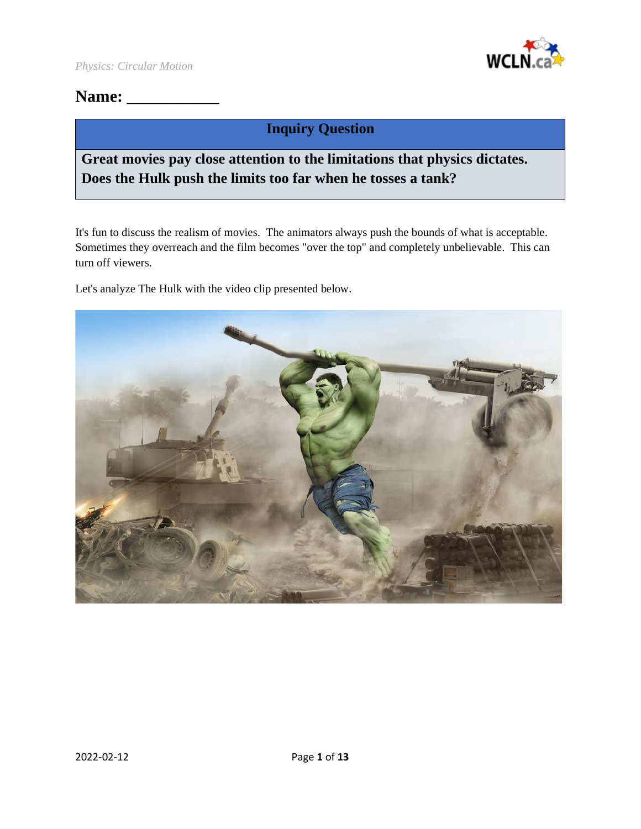

## **Name: \_\_\_\_\_\_\_\_\_\_\_**

## **Inquiry Question**

## **Great movies pay close attention to the limitations that physics dictates. Does the Hulk push the limits too far when he tosses a tank?**

It's fun to discuss the realism of movies. The animators always push the bounds of what is acceptable. Sometimes they overreach and the film becomes "over the top" and completely unbelievable. This can turn off viewers.

Let's analyze The Hulk with the video clip presented below.

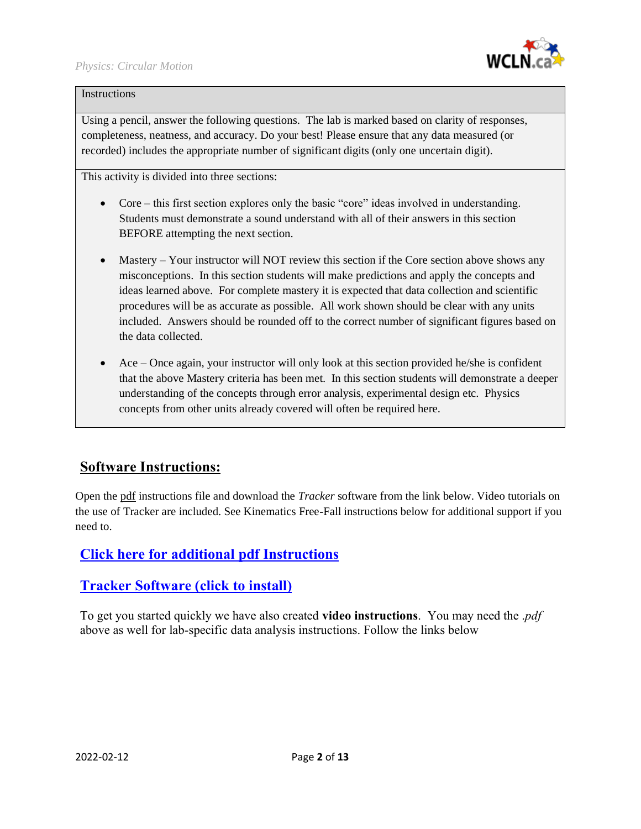

### **Instructions**

Using a pencil, answer the following questions. The lab is marked based on clarity of responses, completeness, neatness, and accuracy. Do your best! Please ensure that any data measured (or recorded) includes the appropriate number of significant digits (only one uncertain digit).

This activity is divided into three sections:

- Core this first section explores only the basic "core" ideas involved in understanding. Students must demonstrate a sound understand with all of their answers in this section BEFORE attempting the next section.
- Mastery Your instructor will NOT review this section if the Core section above shows any misconceptions. In this section students will make predictions and apply the concepts and ideas learned above. For complete mastery it is expected that data collection and scientific procedures will be as accurate as possible. All work shown should be clear with any units included. Answers should be rounded off to the correct number of significant figures based on the data collected.
- Ace Once again, your instructor will only look at this section provided he/she is confident that the above Mastery criteria has been met. In this section students will demonstrate a deeper understanding of the concepts through error analysis, experimental design etc. Physics concepts from other units already covered will often be required here.

## **Software Instructions:**

Open the pdf instructions file and download the *Tracker* software from the link below. Video tutorials on the use of Tracker are included. See Kinematics Free-Fall instructions below for additional support if you need to.

## **Click here for additional [pdf Instructions](https://wcln.ca/_LOR/projects/ph/Instructions/Kinematics_Free-Fall_Lab_Instructions.pdf)**

## **[Tracker Software \(click to install\)](https://physlets.org/tracker/)**

To get you started quickly we have also created **video instructions**. You may need the .*pdf* above as well for lab-specific data analysis instructions. Follow the links below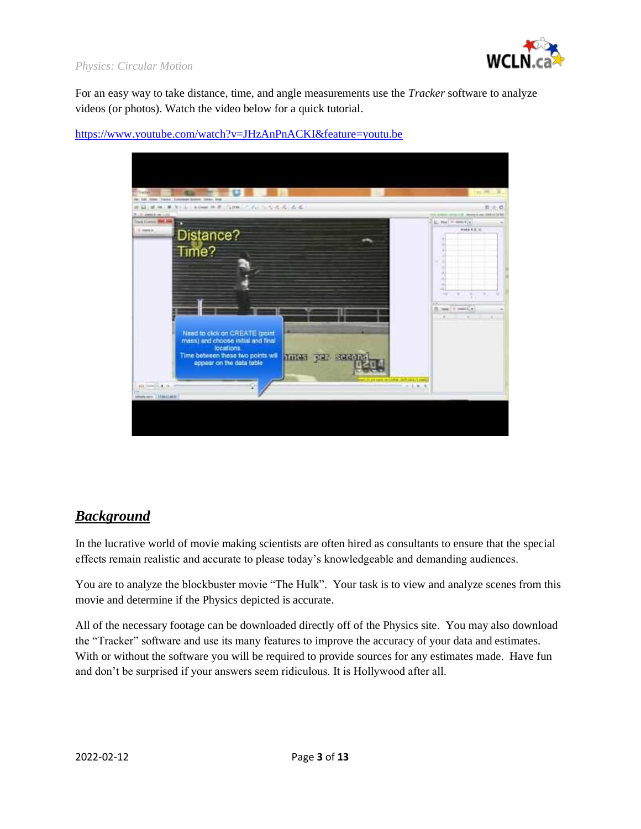

### *Physics: Circular Motion*

For an easy way to take distance, time, and angle measurements use the *Tracker* software to analyze videos (or photos). Watch the video below for a quick tutorial.

### <https://www.youtube.com/watch?v=JHzAnPnACKI&feature=youtu.be>



## *Background*

In the lucrative world of movie making scientists are often hired as consultants to ensure that the special effects remain realistic and accurate to please today's knowledgeable and demanding audiences.

You are to analyze the blockbuster movie "The Hulk". Your task is to view and analyze scenes from this movie and determine if the Physics depicted is accurate.

All of the necessary footage can be downloaded directly off of the Physics site. You may also download the "Tracker" software and use its many features to improve the accuracy of your data and estimates. With or without the software you will be required to provide sources for any estimates made. Have fun and don't be surprised if your answers seem ridiculous. It is Hollywood after all.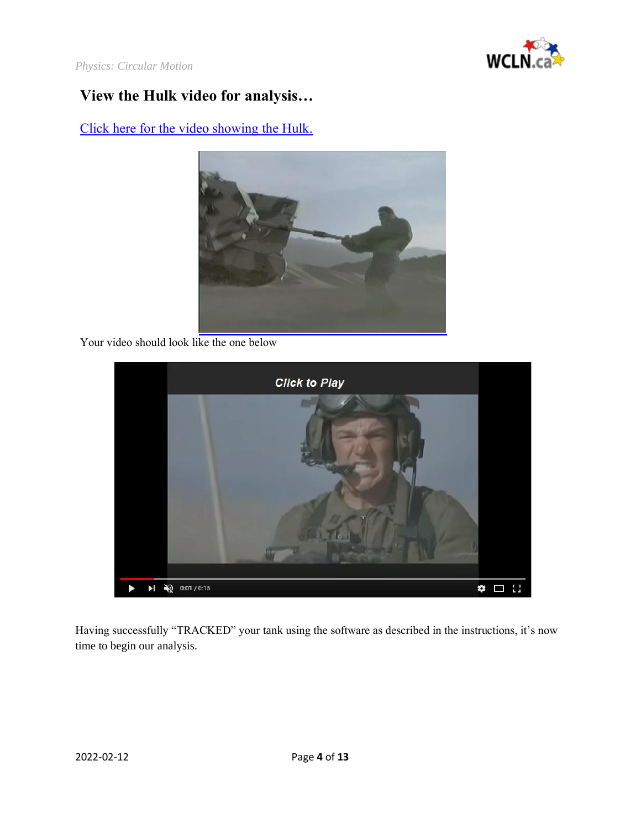

*Physics: Circular Motion*

# **View the Hulk video for analysis…**

[Click here for the video showing the Hulk.](https://wcln.ca/_LOR/projects/ph/VIDEO_SAMPLES/WCLN-Hulk.mp4)



Your video should look like the one below



Having successfully "TRACKED" your tank using the software as described in the instructions, it's now time to begin our analysis.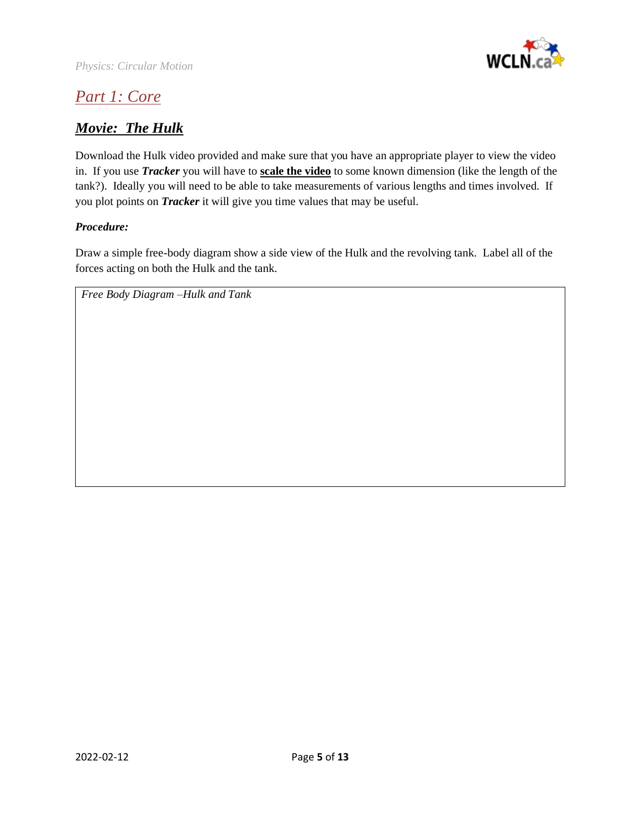

# *Part 1: Core*

## *Movie: The Hulk*

Download the Hulk video provided and make sure that you have an appropriate player to view the video in. If you use *Tracker* you will have to **scale the video** to some known dimension (like the length of the tank?). Ideally you will need to be able to take measurements of various lengths and times involved. If you plot points on *Tracker* it will give you time values that may be useful.

### *Procedure:*

Draw a simple free-body diagram show a side view of the Hulk and the revolving tank. Label all of the forces acting on both the Hulk and the tank.

*Free Body Diagram –Hulk and Tank*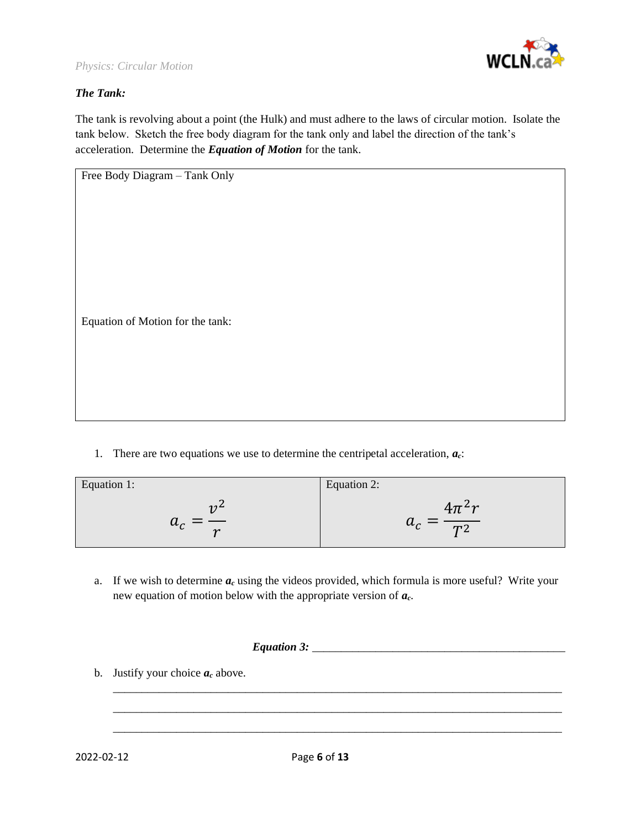

### *The Tank:*

The tank is revolving about a point (the Hulk) and must adhere to the laws of circular motion. Isolate the tank below. Sketch the free body diagram for the tank only and label the direction of the tank's acceleration. Determine the *Equation of Motion* for the tank.

1. There are two equations we use to determine the centripetal acceleration, *ac*:

| Equation 1:     | Equation 2:      |
|-----------------|------------------|
| 12 <sup>4</sup> | $4\pi^2r$        |
| $a_c$           | $=\frac{1}{T^2}$ |
| $\sim$          | $u_c$            |

a. If we wish to determine  $a_c$  using the videos provided, which formula is more useful? Write your new equation of motion below with the appropriate version of *ac*.

|            | b. Justify your choice $a_c$ above. |              |  |
|------------|-------------------------------------|--------------|--|
|            |                                     |              |  |
| 2022-02-12 |                                     | Page 6 of 13 |  |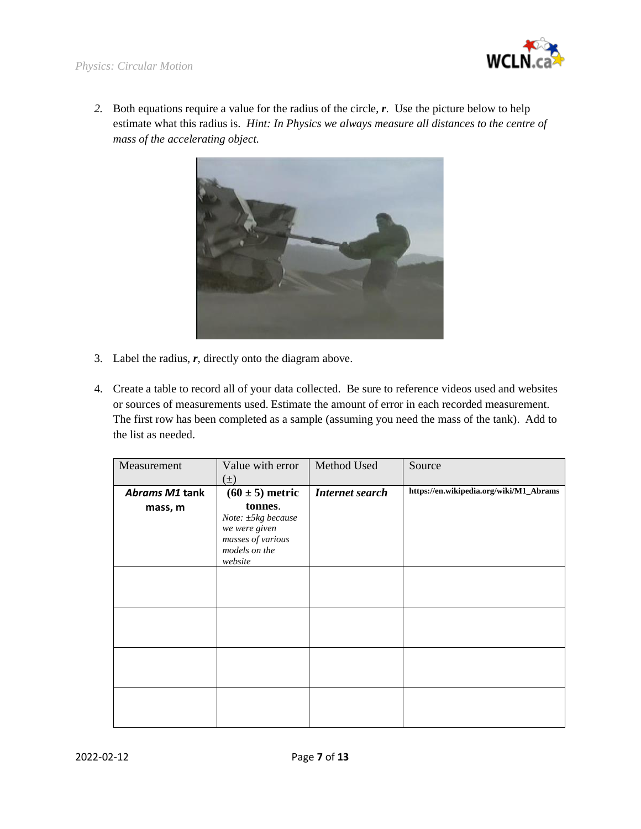

*2.* Both equations require a value for the radius of the circle, *r*. Use the picture below to help estimate what this radius is. *Hint: In Physics we always measure all distances to the centre of mass of the accelerating object.*



- 3. Label the radius, *r*, directly onto the diagram above.
- 4. Create a table to record all of your data collected. Be sure to reference videos used and websites or sources of measurements used. Estimate the amount of error in each recorded measurement. The first row has been completed as a sample (assuming you need the mass of the tank). Add to the list as needed.

| Measurement    | Value with error<br>$(\pm)$                                                                     | Method Used            | Source                                  |
|----------------|-------------------------------------------------------------------------------------------------|------------------------|-----------------------------------------|
| Abrams M1 tank | $(60 \pm 5)$ metric                                                                             | <b>Internet search</b> | https://en.wikipedia.org/wiki/M1_Abrams |
| mass, m        | tonnes.<br>Note: ±5kg because<br>we were given<br>masses of various<br>models on the<br>website |                        |                                         |
|                |                                                                                                 |                        |                                         |
|                |                                                                                                 |                        |                                         |
|                |                                                                                                 |                        |                                         |
|                |                                                                                                 |                        |                                         |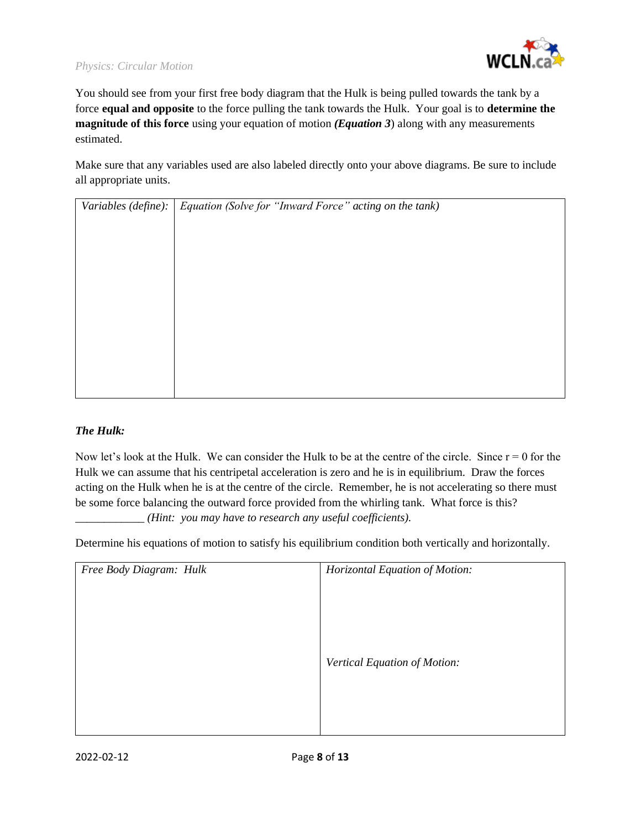### *Physics: Circular Motion*



You should see from your first free body diagram that the Hulk is being pulled towards the tank by a force **equal and opposite** to the force pulling the tank towards the Hulk. Your goal is to **determine the magnitude of this force** using your equation of motion *(Equation 3*) along with any measurements estimated.

Make sure that any variables used are also labeled directly onto your above diagrams. Be sure to include all appropriate units.

| Variables (define):   Equation (Solve for "Inward Force" acting on the tank) |
|------------------------------------------------------------------------------|
|                                                                              |
|                                                                              |
|                                                                              |
|                                                                              |
|                                                                              |
|                                                                              |
|                                                                              |
|                                                                              |
|                                                                              |
|                                                                              |
|                                                                              |

#### *The Hulk:*

Now let's look at the Hulk. We can consider the Hulk to be at the centre of the circle. Since  $r = 0$  for the Hulk we can assume that his centripetal acceleration is zero and he is in equilibrium. Draw the forces acting on the Hulk when he is at the centre of the circle. Remember, he is not accelerating so there must be some force balancing the outward force provided from the whirling tank. What force is this? \_\_\_\_\_\_\_\_\_\_\_\_ *(Hint: you may have to research any useful coefficients).*

Determine his equations of motion to satisfy his equilibrium condition both vertically and horizontally.

| Free Body Diagram: Hulk | Horizontal Equation of Motion: |
|-------------------------|--------------------------------|
|                         |                                |
|                         |                                |
|                         |                                |
|                         |                                |
|                         | Vertical Equation of Motion:   |
|                         |                                |
|                         |                                |
|                         |                                |
|                         |                                |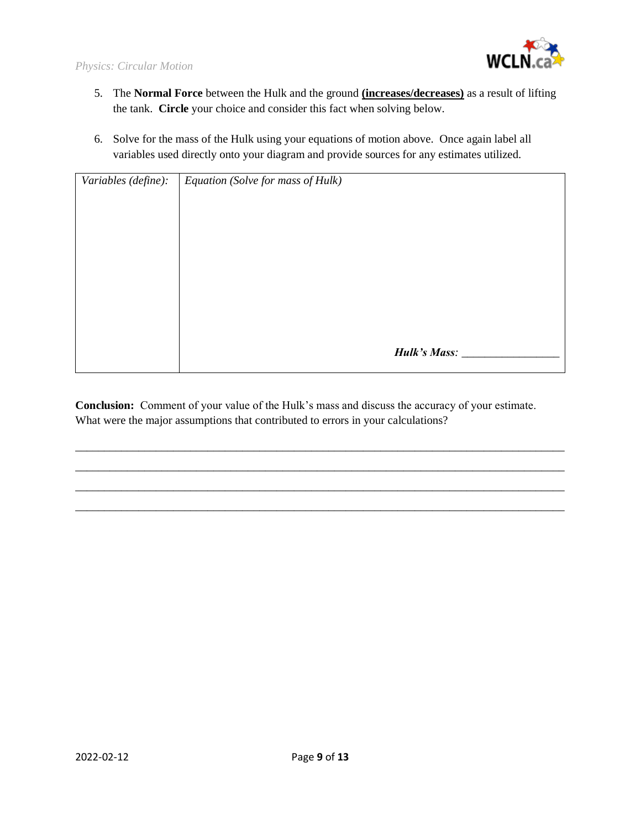

- 5. The **Normal Force** between the Hulk and the ground **(increases/decreases)** as a result of lifting the tank. **Circle** your choice and consider this fact when solving below.
- 6. Solve for the mass of the Hulk using your equations of motion above. Once again label all variables used directly onto your diagram and provide sources for any estimates utilized.

| Variables (define): | Equation (Solve for mass of Hulk) |
|---------------------|-----------------------------------|
|                     |                                   |
|                     |                                   |
|                     |                                   |
|                     |                                   |
|                     |                                   |
|                     |                                   |
|                     |                                   |
|                     | Hulk's Mass:                      |
|                     |                                   |

**Conclusion:** Comment of your value of the Hulk's mass and discuss the accuracy of your estimate. What were the major assumptions that contributed to errors in your calculations?

\_\_\_\_\_\_\_\_\_\_\_\_\_\_\_\_\_\_\_\_\_\_\_\_\_\_\_\_\_\_\_\_\_\_\_\_\_\_\_\_\_\_\_\_\_\_\_\_\_\_\_\_\_\_\_\_\_\_\_\_\_\_\_\_\_\_\_\_\_\_\_\_\_\_\_\_\_\_\_\_\_\_\_\_\_ \_\_\_\_\_\_\_\_\_\_\_\_\_\_\_\_\_\_\_\_\_\_\_\_\_\_\_\_\_\_\_\_\_\_\_\_\_\_\_\_\_\_\_\_\_\_\_\_\_\_\_\_\_\_\_\_\_\_\_\_\_\_\_\_\_\_\_\_\_\_\_\_\_\_\_\_\_\_\_\_\_\_\_\_\_ \_\_\_\_\_\_\_\_\_\_\_\_\_\_\_\_\_\_\_\_\_\_\_\_\_\_\_\_\_\_\_\_\_\_\_\_\_\_\_\_\_\_\_\_\_\_\_\_\_\_\_\_\_\_\_\_\_\_\_\_\_\_\_\_\_\_\_\_\_\_\_\_\_\_\_\_\_\_\_\_\_\_\_\_\_ \_\_\_\_\_\_\_\_\_\_\_\_\_\_\_\_\_\_\_\_\_\_\_\_\_\_\_\_\_\_\_\_\_\_\_\_\_\_\_\_\_\_\_\_\_\_\_\_\_\_\_\_\_\_\_\_\_\_\_\_\_\_\_\_\_\_\_\_\_\_\_\_\_\_\_\_\_\_\_\_\_\_\_\_\_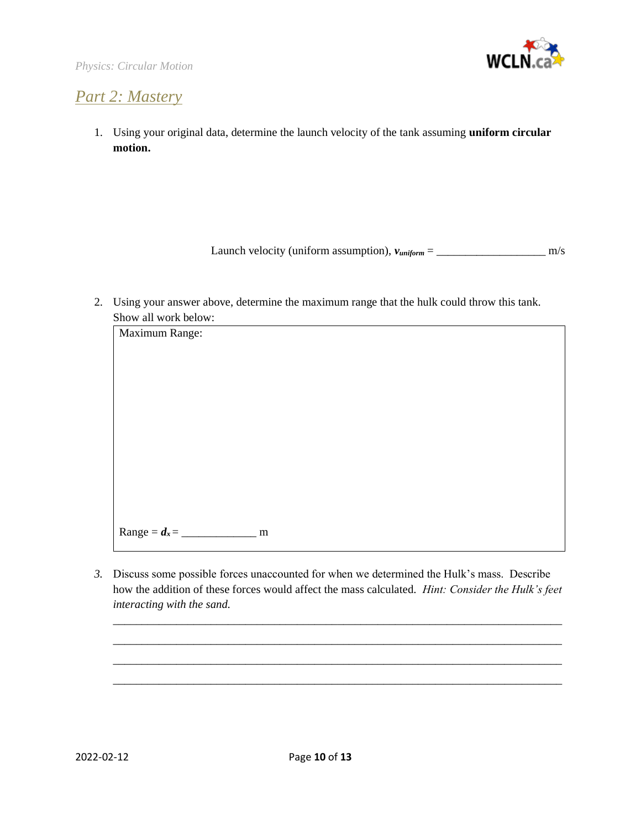

# *Part 2: Mastery*

1. Using your original data, determine the launch velocity of the tank assuming **uniform circular motion.**

Launch velocity (uniform assumption), *vuniform* = \_\_\_\_\_\_\_\_\_\_\_\_\_\_\_\_\_\_\_ m/s

2. Using your answer above, determine the maximum range that the hulk could throw this tank. Show all work below:



*3.* Discuss some possible forces unaccounted for when we determined the Hulk's mass. Describe how the addition of these forces would affect the mass calculated. *Hint: Consider the Hulk's feet interacting with the sand.*

\_\_\_\_\_\_\_\_\_\_\_\_\_\_\_\_\_\_\_\_\_\_\_\_\_\_\_\_\_\_\_\_\_\_\_\_\_\_\_\_\_\_\_\_\_\_\_\_\_\_\_\_\_\_\_\_\_\_\_\_\_\_\_\_\_\_\_\_\_\_\_\_\_\_\_\_\_\_ \_\_\_\_\_\_\_\_\_\_\_\_\_\_\_\_\_\_\_\_\_\_\_\_\_\_\_\_\_\_\_\_\_\_\_\_\_\_\_\_\_\_\_\_\_\_\_\_\_\_\_\_\_\_\_\_\_\_\_\_\_\_\_\_\_\_\_\_\_\_\_\_\_\_\_\_\_\_ \_\_\_\_\_\_\_\_\_\_\_\_\_\_\_\_\_\_\_\_\_\_\_\_\_\_\_\_\_\_\_\_\_\_\_\_\_\_\_\_\_\_\_\_\_\_\_\_\_\_\_\_\_\_\_\_\_\_\_\_\_\_\_\_\_\_\_\_\_\_\_\_\_\_\_\_\_\_ \_\_\_\_\_\_\_\_\_\_\_\_\_\_\_\_\_\_\_\_\_\_\_\_\_\_\_\_\_\_\_\_\_\_\_\_\_\_\_\_\_\_\_\_\_\_\_\_\_\_\_\_\_\_\_\_\_\_\_\_\_\_\_\_\_\_\_\_\_\_\_\_\_\_\_\_\_\_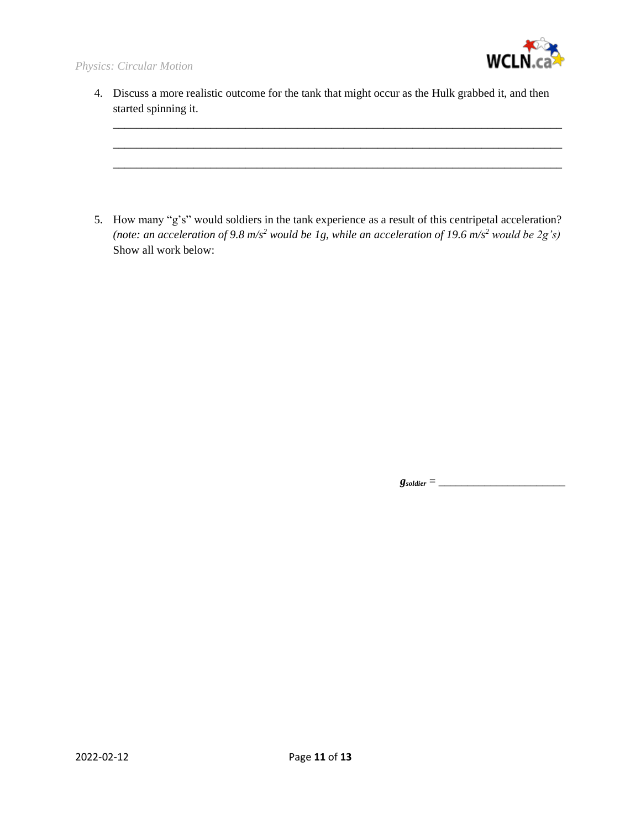

4. Discuss a more realistic outcome for the tank that might occur as the Hulk grabbed it, and then started spinning it.

\_\_\_\_\_\_\_\_\_\_\_\_\_\_\_\_\_\_\_\_\_\_\_\_\_\_\_\_\_\_\_\_\_\_\_\_\_\_\_\_\_\_\_\_\_\_\_\_\_\_\_\_\_\_\_\_\_\_\_\_\_\_\_\_\_\_\_\_\_\_\_\_\_\_\_\_\_\_ \_\_\_\_\_\_\_\_\_\_\_\_\_\_\_\_\_\_\_\_\_\_\_\_\_\_\_\_\_\_\_\_\_\_\_\_\_\_\_\_\_\_\_\_\_\_\_\_\_\_\_\_\_\_\_\_\_\_\_\_\_\_\_\_\_\_\_\_\_\_\_\_\_\_\_\_\_\_ \_\_\_\_\_\_\_\_\_\_\_\_\_\_\_\_\_\_\_\_\_\_\_\_\_\_\_\_\_\_\_\_\_\_\_\_\_\_\_\_\_\_\_\_\_\_\_\_\_\_\_\_\_\_\_\_\_\_\_\_\_\_\_\_\_\_\_\_\_\_\_\_\_\_\_\_\_\_

5. How many "g's" would soldiers in the tank experience as a result of this centripetal acceleration? *(note: an acceleration of 9.8 m/s<sup>2</sup> would be 1g, while an acceleration of 19.6 m/s<sup>2</sup> would be 2g's)*  Show all work below:

 $g_{soldier} = \_$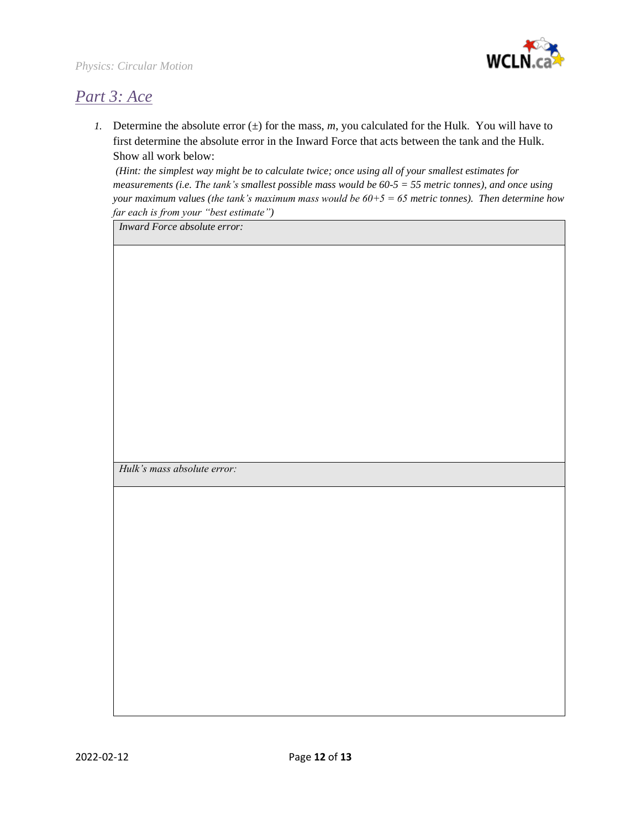

## *Part 3: Ace*

*1.* Determine the absolute error  $(\pm)$  for the mass, *m*, you calculated for the Hulk. You will have to first determine the absolute error in the Inward Force that acts between the tank and the Hulk. Show all work below:

*(Hint: the simplest way might be to calculate twice; once using all of your smallest estimates for measurements (i.e. The tank's smallest possible mass would be 60-5 = 55 metric tonnes), and once using your maximum values (the tank's maximum mass would be 60+5 = 65 metric tonnes). Then determine how far each is from your "best estimate")*

*Inward Force absolute error:*

*Hulk's mass absolute error:*